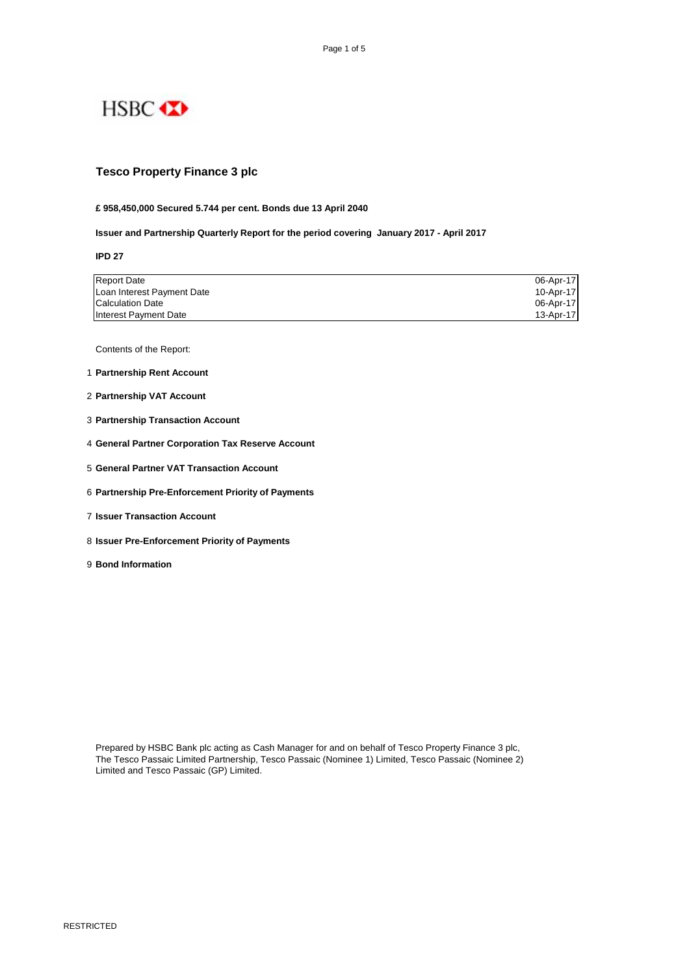

### **Tesco Property Finance 3 plc**

#### **£ 958,450,000 Secured 5.744 per cent. Bonds due 13 April 2040**

**Issuer and Partnership Quarterly Report for the period covering January 2017 - April 2017**

**IPD 27**

| <b>Report Date</b>         | 06-Apr-17 |
|----------------------------|-----------|
| Loan Interest Payment Date | 10-Apr-17 |
| <b>Calculation Date</b>    | 06-Apr-17 |
| Interest Payment Date      | 13-Apr-17 |

Contents of the Report:

- 1 **Partnership Rent Account**
- 2 **Partnership VAT Account**
- 3 **Partnership Transaction Account**
- 4 **General Partner Corporation Tax Reserve Account**
- 5 **General Partner VAT Transaction Account**
- 6 **Partnership Pre-Enforcement Priority of Payments**
- 7 **Issuer Transaction Account**
- 8 **Issuer Pre-Enforcement Priority of Payments**
- 9 **Bond Information**

Prepared by HSBC Bank plc acting as Cash Manager for and on behalf of Tesco Property Finance 3 plc, The Tesco Passaic Limited Partnership, Tesco Passaic (Nominee 1) Limited, Tesco Passaic (Nominee 2) Limited and Tesco Passaic (GP) Limited.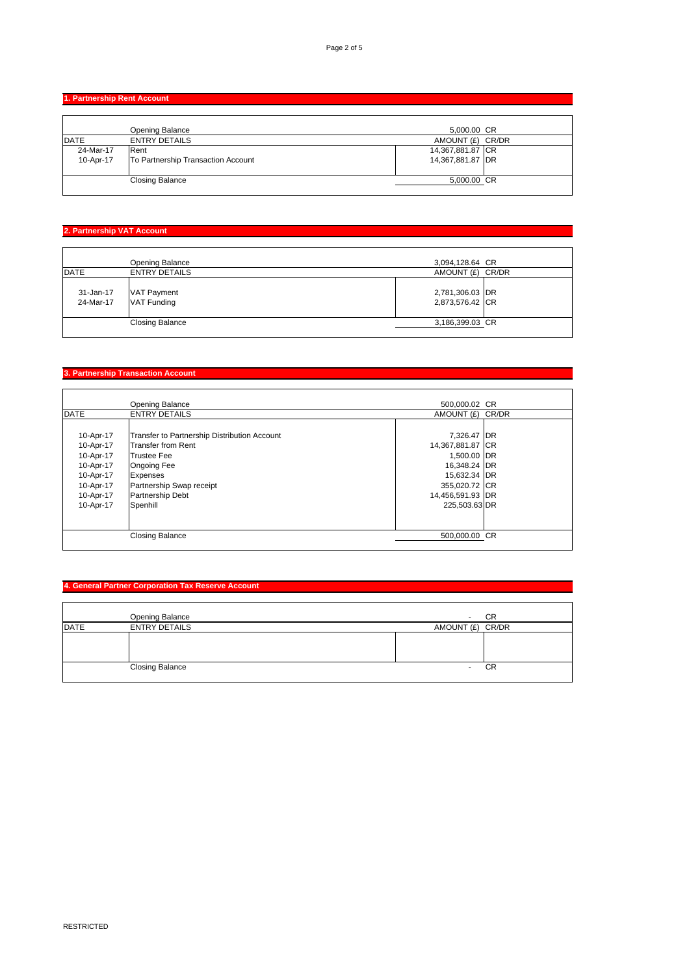**1. Partnership Rent Account** 

|              | Opening Balance                    | 5,000.00 CR      |  |
|--------------|------------------------------------|------------------|--|
| <b>IDATE</b> | <b>ENTRY DETAILS</b>               | AMOUNT (£) CR/DR |  |
| 24-Mar-17    | Rent                               | 14,367,881.87 CR |  |
| 10-Apr-17    | To Partnership Transaction Account | 14,367,881.87 DR |  |
|              |                                    |                  |  |
|              | <b>Closing Balance</b>             | 5,000.00 CR      |  |
|              |                                    |                  |  |

# **2. Partnership VAT Account**

|                        | <b>Opening Balance</b>                   | 3,094,128.64 CR                    |  |
|------------------------|------------------------------------------|------------------------------------|--|
| <b>IDATE</b>           | <b>ENTRY DETAILS</b>                     | AMOUNT (£) CR/DR                   |  |
| 31-Jan-17<br>24-Mar-17 | <b>VAT Payment</b><br><b>VAT Funding</b> | 2,781,306.03 DR<br>2,873,576.42 CR |  |
|                        | <b>Closing Balance</b>                   | 3,186,399.03 CR                    |  |
|                        |                                          |                                    |  |

### **3. Partnership Transaction Account**

|             | Opening Balance                              | 500,000.02 CR    |  |
|-------------|----------------------------------------------|------------------|--|
| <b>DATE</b> | <b>ENTRY DETAILS</b>                         | AMOUNT (£) CR/DR |  |
|             |                                              |                  |  |
| 10-Apr-17   | Transfer to Partnership Distribution Account | 7,326.47 DR      |  |
| 10-Apr-17   | Transfer from Rent                           | 14,367,881.87 CR |  |
| 10-Apr-17   | <b>Trustee Fee</b>                           | 1,500.00 DR      |  |
| 10-Apr-17   | <b>Ongoing Fee</b>                           | 16,348.24 DR     |  |
| 10-Apr-17   | Expenses                                     | 15,632.34 DR     |  |
| 10-Apr-17   | Partnership Swap receipt                     | 355,020.72 CR    |  |
| 10-Apr-17   | <b>Partnership Debt</b>                      | 14,456,591.93 DR |  |
| 10-Apr-17   | Spenhill                                     | 225,503.63 DR    |  |
|             |                                              |                  |  |
|             |                                              |                  |  |
|             | <b>Closing Balance</b>                       | 500,000.00 CR    |  |
|             |                                              |                  |  |

# **4. General Partner Corporation Tax Reserve Account**

|             | Opening Balance        |                  | CR |
|-------------|------------------------|------------------|----|
| <b>DATE</b> | <b>ENTRY DETAILS</b>   | AMOUNT (£) CR/DR |    |
|             |                        |                  |    |
|             |                        |                  |    |
|             |                        |                  |    |
|             | <b>Closing Balance</b> |                  | CR |
|             |                        |                  |    |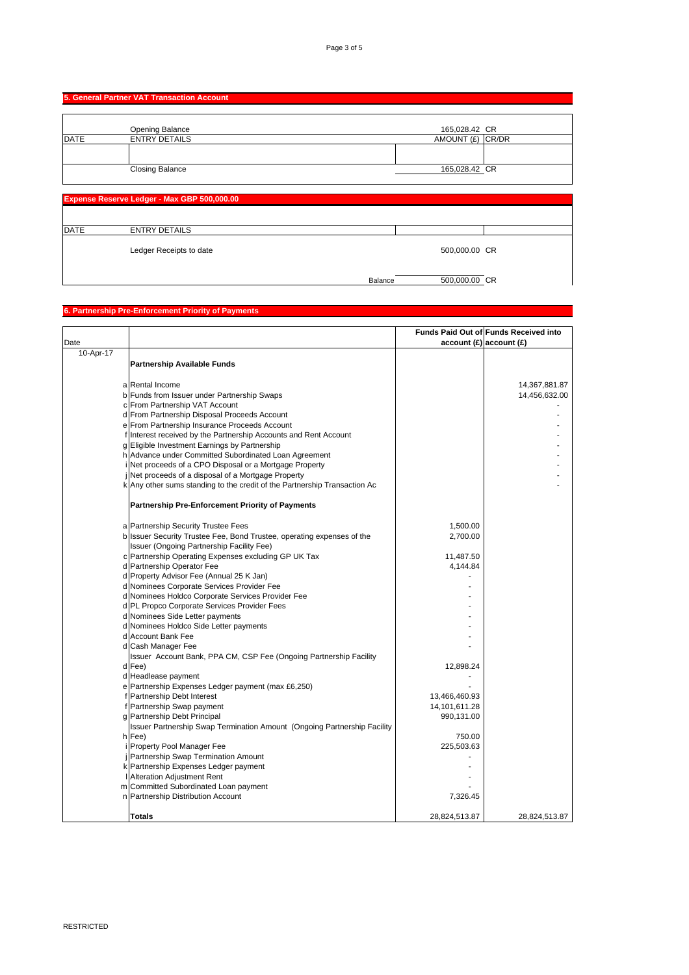Balance 500,000.00 CR

|             | 5. General Partner VAT Transaction Account  |                  |  |
|-------------|---------------------------------------------|------------------|--|
|             |                                             |                  |  |
|             | <b>Opening Balance</b>                      | 165,028.42 CR    |  |
| <b>DATE</b> | <b>ENTRY DETAILS</b>                        | AMOUNT (£) CR/DR |  |
|             |                                             |                  |  |
|             | <b>Closing Balance</b>                      | 165,028.42 CR    |  |
|             |                                             |                  |  |
|             |                                             |                  |  |
|             | Expense Reserve Ledger - Max GBP 500,000.00 |                  |  |
|             |                                             |                  |  |
| <b>DATE</b> | <b>ENTRY DETAILS</b>                        |                  |  |
|             | Ledger Receipts to date                     | 500,000.00 CR    |  |

#### **6. Partnership Pre-Enforcement Priority of Payments**

| Date      |                                                                           |               | Funds Paid Out of Funds Received into<br>account(E) account(E) |
|-----------|---------------------------------------------------------------------------|---------------|----------------------------------------------------------------|
| 10-Apr-17 |                                                                           |               |                                                                |
|           | <b>Partnership Available Funds</b>                                        |               |                                                                |
|           | a Rental Income                                                           |               | 14,367,881.87                                                  |
|           | b Funds from Issuer under Partnership Swaps                               |               | 14,456,632.00                                                  |
|           | c From Partnership VAT Account                                            |               |                                                                |
|           |                                                                           |               |                                                                |
|           | d From Partnership Disposal Proceeds Account                              |               |                                                                |
|           | e From Partnership Insurance Proceeds Account                             |               |                                                                |
|           | f Interest received by the Partnership Accounts and Rent Account          |               |                                                                |
|           | g Eligible Investment Earnings by Partnership                             |               |                                                                |
|           | h Advance under Committed Subordinated Loan Agreement                     |               |                                                                |
|           | i Net proceeds of a CPO Disposal or a Mortgage Property                   |               |                                                                |
|           | j Net proceeds of a disposal of a Mortgage Property                       |               |                                                                |
|           | k Any other sums standing to the credit of the Partnership Transaction Ac |               |                                                                |
|           | <b>Partnership Pre-Enforcement Priority of Payments</b>                   |               |                                                                |
|           | a Partnership Security Trustee Fees                                       | 1,500.00      |                                                                |
|           | b Issuer Security Trustee Fee, Bond Trustee, operating expenses of the    | 2,700.00      |                                                                |
|           | Issuer (Ongoing Partnership Facility Fee)                                 |               |                                                                |
|           | c Partnership Operating Expenses excluding GP UK Tax                      | 11,487.50     |                                                                |
|           | d Partnership Operator Fee                                                | 4,144.84      |                                                                |
|           | d Property Advisor Fee (Annual 25 K Jan)                                  |               |                                                                |
|           | d Nominees Corporate Services Provider Fee                                |               |                                                                |
|           | d Nominees Holdco Corporate Services Provider Fee                         |               |                                                                |
|           | d PL Propco Corporate Services Provider Fees                              |               |                                                                |
|           | d Nominees Side Letter payments                                           |               |                                                                |
|           | d Nominees Holdco Side Letter payments                                    |               |                                                                |
|           | d Account Bank Fee                                                        |               |                                                                |
|           | d Cash Manager Fee                                                        |               |                                                                |
|           | Issuer Account Bank, PPA CM, CSP Fee (Ongoing Partnership Facility        |               |                                                                |
|           | d Fee)                                                                    |               |                                                                |
|           |                                                                           | 12,898.24     |                                                                |
|           | d Headlease payment                                                       |               |                                                                |
|           | e Partnership Expenses Ledger payment (max £6,250)                        |               |                                                                |
|           | f Partnership Debt Interest                                               | 13,466,460.93 |                                                                |
|           | f Partnership Swap payment                                                | 14,101,611.28 |                                                                |
|           | g Partnership Debt Principal                                              | 990,131.00    |                                                                |
|           | Issuer Partnership Swap Termination Amount (Ongoing Partnership Facility  |               |                                                                |
|           | h Fee)                                                                    | 750.00        |                                                                |
|           | i Property Pool Manager Fee                                               | 225,503.63    |                                                                |
|           | j Partnership Swap Termination Amount                                     |               |                                                                |
|           | k Partnership Expenses Ledger payment                                     |               |                                                                |
|           | I Alteration Adjustment Rent                                              |               |                                                                |
|           | m Committed Subordinated Loan payment                                     |               |                                                                |
|           | n Partnership Distribution Account                                        | 7,326.45      |                                                                |
|           | Totals                                                                    | 28,824,513.87 | 28,824,513.87                                                  |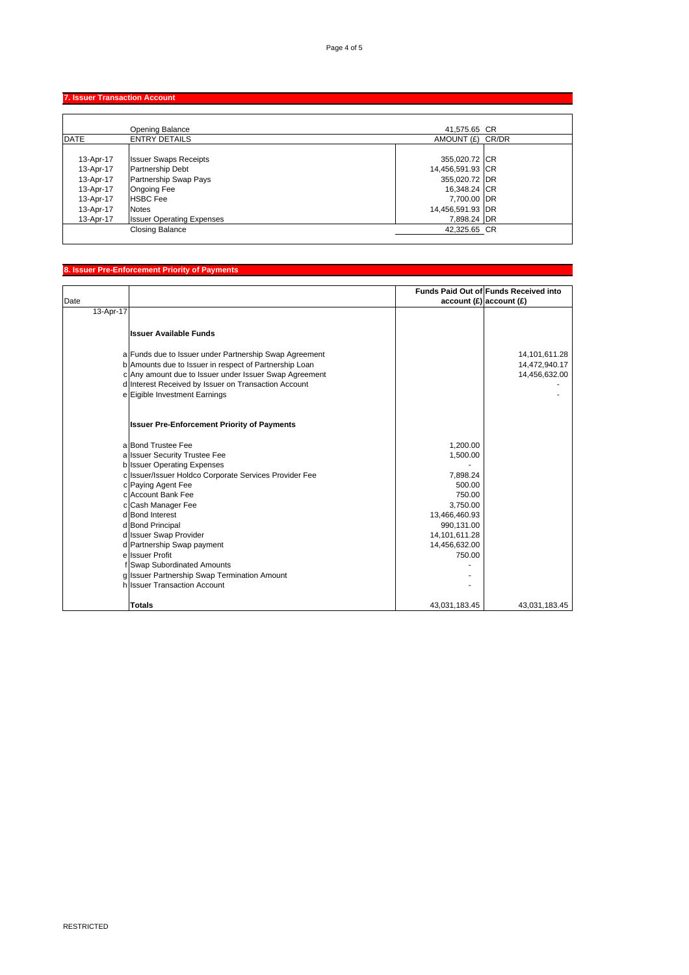# **7. Issuer Transaction Account**

|             | Opening Balance                  | 41,575.65 CR     |  |
|-------------|----------------------------------|------------------|--|
| <b>DATE</b> | <b>ENTRY DETAILS</b>             | AMOUNT (£) CR/DR |  |
|             |                                  |                  |  |
| 13-Apr-17   | <b>Issuer Swaps Receipts</b>     | 355,020.72 CR    |  |
| 13-Apr-17   | <b>Partnership Debt</b>          | 14,456,591.93 CR |  |
| 13-Apr-17   | Partnership Swap Pays            | 355,020.72 DR    |  |
| 13-Apr-17   | <b>Ongoing Fee</b>               | 16,348.24 CR     |  |
| 13-Apr-17   | <b>HSBC</b> Fee                  | 7,700.00 DR      |  |
| 13-Apr-17   | <b>Notes</b>                     | 14,456,591.93 DR |  |
| 13-Apr-17   | <b>Issuer Operating Expenses</b> | 7,898.24 DR      |  |
|             | <b>Closing Balance</b>           | 42,325.65 CR     |  |

### **8. Issuer Pre-Enforcement Priority of Payments**

|           |                                                        |                            | <b>Funds Paid Out of Funds Received into</b> |
|-----------|--------------------------------------------------------|----------------------------|----------------------------------------------|
| Date      |                                                        | $account(E)$ account $(E)$ |                                              |
| 13-Apr-17 |                                                        |                            |                                              |
|           |                                                        |                            |                                              |
|           | <b>Issuer Available Funds</b>                          |                            |                                              |
|           |                                                        |                            |                                              |
|           | a Funds due to Issuer under Partnership Swap Agreement |                            | 14,101,611.28                                |
|           | b Amounts due to Issuer in respect of Partnership Loan |                            | 14,472,940.17                                |
|           | c Any amount due to Issuer under Issuer Swap Agreement |                            | 14,456,632.00                                |
|           | d Interest Received by Issuer on Transaction Account   |                            |                                              |
|           | e Eigible Investment Earnings                          |                            |                                              |
|           |                                                        |                            |                                              |
|           | <b>Issuer Pre-Enforcement Priority of Payments</b>     |                            |                                              |
|           | a Bond Trustee Fee                                     | 1,200.00                   |                                              |
|           | a Issuer Security Trustee Fee                          | 1,500.00                   |                                              |
|           | <b>b</b> Issuer Operating Expenses                     |                            |                                              |
|           | c Issuer/Issuer Holdco Corporate Services Provider Fee | 7,898.24                   |                                              |
|           | c Paying Agent Fee                                     | 500.00                     |                                              |
|           | c Account Bank Fee                                     | 750.00                     |                                              |
|           | c Cash Manager Fee                                     | 3,750.00                   |                                              |
|           | d Bond Interest                                        | 13,466,460.93              |                                              |
|           | d Bond Principal                                       | 990,131.00                 |                                              |
|           | d Issuer Swap Provider                                 | 14,101,611.28              |                                              |
|           | d Partnership Swap payment                             | 14,456,632.00              |                                              |
|           | e Issuer Profit                                        | 750.00                     |                                              |
|           | f Swap Subordinated Amounts                            |                            |                                              |
|           | g Issuer Partnership Swap Termination Amount           |                            |                                              |
|           | hilssuer Transaction Account                           |                            |                                              |
|           | <b>Totals</b>                                          | 43,031,183.45              | 43,031,183.45                                |